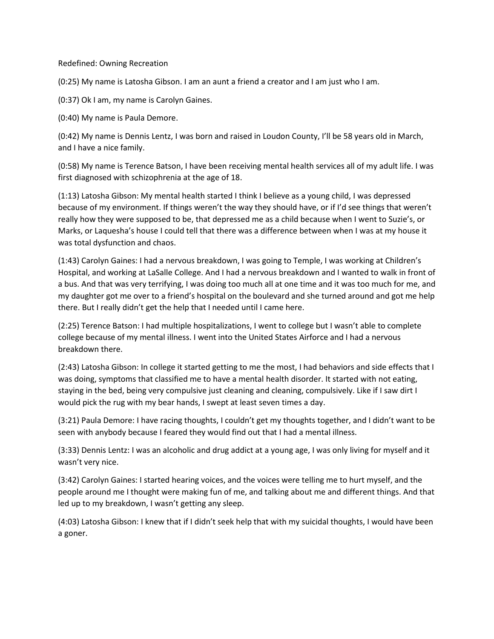Redefined: Owning Recreation

(0:25) My name is Latosha Gibson. I am an aunt a friend a creator and I am just who I am.

(0:37) Ok I am, my name is Carolyn Gaines.

(0:40) My name is Paula Demore.

(0:42) My name is Dennis Lentz, I was born and raised in Loudon County, I'll be 58 years old in March, and I have a nice family.

(0:58) My name is Terence Batson, I have been receiving mental health services all of my adult life. I was first diagnosed with schizophrenia at the age of 18.

(1:13) Latosha Gibson: My mental health started I think I believe as a young child, I was depressed because of my environment. If things weren't the way they should have, or if I'd see things that weren't really how they were supposed to be, that depressed me as a child because when I went to Suzie's, or Marks, or Laquesha's house I could tell that there was a difference between when I was at my house it was total dysfunction and chaos.

(1:43) Carolyn Gaines: I had a nervous breakdown, I was going to Temple, I was working at Children's Hospital, and working at LaSalle College. And I had a nervous breakdown and I wanted to walk in front of a bus. And that was very terrifying, I was doing too much all at one time and it was too much for me, and my daughter got me over to a friend's hospital on the boulevard and she turned around and got me help there. But I really didn't get the help that I needed until I came here.

(2:25) Terence Batson: I had multiple hospitalizations, I went to college but I wasn't able to complete college because of my mental illness. I went into the United States Airforce and I had a nervous breakdown there.

(2:43) Latosha Gibson: In college it started getting to me the most, I had behaviors and side effects that I was doing, symptoms that classified me to have a mental health disorder. It started with not eating, staying in the bed, being very compulsive just cleaning and cleaning, compulsively. Like if I saw dirt I would pick the rug with my bear hands, I swept at least seven times a day.

(3:21) Paula Demore: I have racing thoughts, I couldn't get my thoughts together, and I didn't want to be seen with anybody because I feared they would find out that I had a mental illness.

(3:33) Dennis Lentz: I was an alcoholic and drug addict at a young age, I was only living for myself and it wasn't very nice.

(3:42) Carolyn Gaines: I started hearing voices, and the voices were telling me to hurt myself, and the people around me I thought were making fun of me, and talking about me and different things. And that led up to my breakdown, I wasn't getting any sleep.

(4:03) Latosha Gibson: I knew that if I didn't seek help that with my suicidal thoughts, I would have been a goner.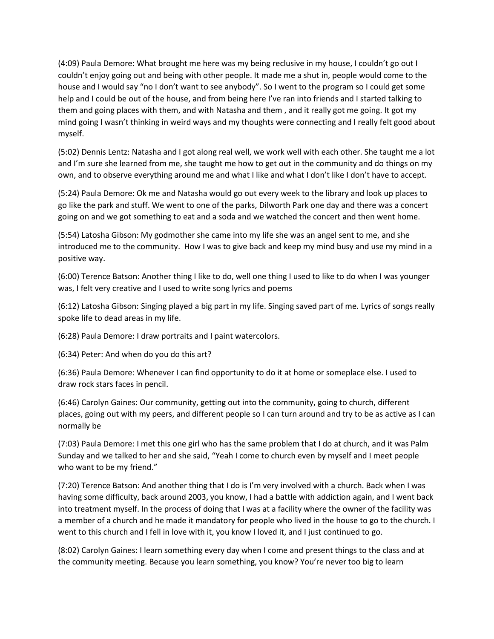(4:09) Paula Demore: What brought me here was my being reclusive in my house, I couldn't go out I couldn't enjoy going out and being with other people. It made me a shut in, people would come to the house and I would say "no I don't want to see anybody". So I went to the program so I could get some help and I could be out of the house, and from being here I've ran into friends and I started talking to them and going places with them, and with Natasha and them , and it really got me going. It got my mind going I wasn't thinking in weird ways and my thoughts were connecting and I really felt good about myself.

(5:02) Dennis Lentz: Natasha and I got along real well, we work well with each other. She taught me a lot and I'm sure she learned from me, she taught me how to get out in the community and do things on my own, and to observe everything around me and what I like and what I don't like I don't have to accept.

(5:24) Paula Demore: Ok me and Natasha would go out every week to the library and look up places to go like the park and stuff. We went to one of the parks, Dilworth Park one day and there was a concert going on and we got something to eat and a soda and we watched the concert and then went home.

(5:54) Latosha Gibson: My godmother she came into my life she was an angel sent to me, and she introduced me to the community. How I was to give back and keep my mind busy and use my mind in a positive way.

(6:00) Terence Batson: Another thing I like to do, well one thing I used to like to do when I was younger was, I felt very creative and I used to write song lyrics and poems

(6:12) Latosha Gibson: Singing played a big part in my life. Singing saved part of me. Lyrics of songs really spoke life to dead areas in my life.

(6:28) Paula Demore: I draw portraits and I paint watercolors.

(6:34) Peter: And when do you do this art?

(6:36) Paula Demore: Whenever I can find opportunity to do it at home or someplace else. I used to draw rock stars faces in pencil.

(6:46) Carolyn Gaines: Our community, getting out into the community, going to church, different places, going out with my peers, and different people so I can turn around and try to be as active as I can normally be

(7:03) Paula Demore: I met this one girl who has the same problem that I do at church, and it was Palm Sunday and we talked to her and she said, "Yeah I come to church even by myself and I meet people who want to be my friend."

(7:20) Terence Batson: And another thing that I do is I'm very involved with a church. Back when I was having some difficulty, back around 2003, you know, I had a battle with addiction again, and I went back into treatment myself. In the process of doing that I was at a facility where the owner of the facility was a member of a church and he made it mandatory for people who lived in the house to go to the church. I went to this church and I fell in love with it, you know I loved it, and I just continued to go.

(8:02) Carolyn Gaines: I learn something every day when I come and present things to the class and at the community meeting. Because you learn something, you know? You're never too big to learn